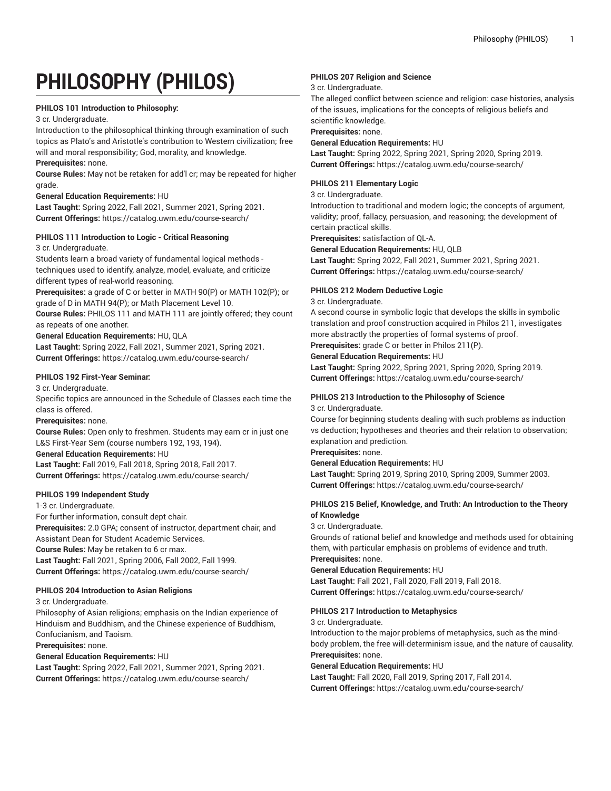# **PHILOSOPHY (PHILOS)**

## **PHILOS 101 Introduction to Philosophy:**

#### 3 cr. Undergraduate.

Introduction to the philosophical thinking through examination of such topics as Plato's and Aristotle's contribution to Western civilization; free will and moral responsibility; God, morality, and knowledge.

## **Prerequisites:** none.

**Course Rules:** May not be retaken for add'l cr; may be repeated for higher grade.

#### **General Education Requirements:** HU

**Last Taught:** Spring 2022, Fall 2021, Summer 2021, Spring 2021. **Current Offerings:** <https://catalog.uwm.edu/course-search/>

## **PHILOS 111 Introduction to Logic - Critical Reasoning**

3 cr. Undergraduate.

Students learn a broad variety of fundamental logical methods techniques used to identify, analyze, model, evaluate, and criticize different types of real-world reasoning.

**Prerequisites:** a grade of C or better in MATH 90(P) or MATH 102(P); or grade of D in MATH 94(P); or Math Placement Level 10.

**Course Rules:** PHILOS 111 and MATH 111 are jointly offered; they count as repeats of one another.

**General Education Requirements:** HU, QLA

**Last Taught:** Spring 2022, Fall 2021, Summer 2021, Spring 2021. **Current Offerings:** <https://catalog.uwm.edu/course-search/>

## **PHILOS 192 First-Year Seminar:**

3 cr. Undergraduate.

Specific topics are announced in the Schedule of Classes each time the class is offered.

**Prerequisites:** none.

**Course Rules:** Open only to freshmen. Students may earn cr in just one L&S First-Year Sem (course numbers 192, 193, 194).

#### **General Education Requirements:** HU

**Last Taught:** Fall 2019, Fall 2018, Spring 2018, Fall 2017. **Current Offerings:** <https://catalog.uwm.edu/course-search/>

## **PHILOS 199 Independent Study**

1-3 cr. Undergraduate.

For further information, consult dept chair. **Prerequisites:** 2.0 GPA; consent of instructor, department chair, and Assistant Dean for Student Academic Services. **Course Rules:** May be retaken to 6 cr max. **Last Taught:** Fall 2021, Spring 2006, Fall 2002, Fall 1999. **Current Offerings:** <https://catalog.uwm.edu/course-search/>

## **PHILOS 204 Introduction to Asian Religions**

3 cr. Undergraduate.

Philosophy of Asian religions; emphasis on the Indian experience of Hinduism and Buddhism, and the Chinese experience of Buddhism, Confucianism, and Taoism.

#### **Prerequisites:** none.

**General Education Requirements:** HU

**Last Taught:** Spring 2022, Fall 2021, Summer 2021, Spring 2021. **Current Offerings:** <https://catalog.uwm.edu/course-search/>

## **PHILOS 207 Religion and Science**

## 3 cr. Undergraduate.

The alleged conflict between science and religion: case histories, analysis of the issues, implications for the concepts of religious beliefs and scientific knowledge.

**Prerequisites:** none.

## **General Education Requirements:** HU

**Last Taught:** Spring 2022, Spring 2021, Spring 2020, Spring 2019. **Current Offerings:** <https://catalog.uwm.edu/course-search/>

## **PHILOS 211 Elementary Logic**

#### 3 cr. Undergraduate.

Introduction to traditional and modern logic; the concepts of argument, validity; proof, fallacy, persuasion, and reasoning; the development of certain practical skills.

**Prerequisites:** satisfaction of QL-A.

**General Education Requirements:** HU, QLB

**Last Taught:** Spring 2022, Fall 2021, Summer 2021, Spring 2021. **Current Offerings:** <https://catalog.uwm.edu/course-search/>

## **PHILOS 212 Modern Deductive Logic**

3 cr. Undergraduate.

A second course in symbolic logic that develops the skills in symbolic translation and proof construction acquired in Philos 211, investigates more abstractly the properties of formal systems of proof. **Prerequisites:** grade C or better in Philos 211(P).

# **General Education Requirements:** HU

**Last Taught:** Spring 2022, Spring 2021, Spring 2020, Spring 2019. **Current Offerings:** <https://catalog.uwm.edu/course-search/>

#### **PHILOS 213 Introduction to the Philosophy of Science**

3 cr. Undergraduate.

Course for beginning students dealing with such problems as induction vs deduction; hypotheses and theories and their relation to observation; explanation and prediction.

**Prerequisites:** none.

#### **General Education Requirements:** HU

**Last Taught:** Spring 2019, Spring 2010, Spring 2009, Summer 2003. **Current Offerings:** <https://catalog.uwm.edu/course-search/>

## **PHILOS 215 Belief, Knowledge, and Truth: An Introduction to the Theory of Knowledge**

#### 3 cr. Undergraduate.

Grounds of rational belief and knowledge and methods used for obtaining them, with particular emphasis on problems of evidence and truth. **Prerequisites:** none.

#### **General Education Requirements:** HU

**Last Taught:** Fall 2021, Fall 2020, Fall 2019, Fall 2018. **Current Offerings:** <https://catalog.uwm.edu/course-search/>

## **PHILOS 217 Introduction to Metaphysics**

3 cr. Undergraduate.

Introduction to the major problems of metaphysics, such as the mindbody problem, the free will-determinism issue, and the nature of causality. **Prerequisites:** none.

#### **General Education Requirements:** HU

**Last Taught:** Fall 2020, Fall 2019, Spring 2017, Fall 2014. **Current Offerings:** <https://catalog.uwm.edu/course-search/>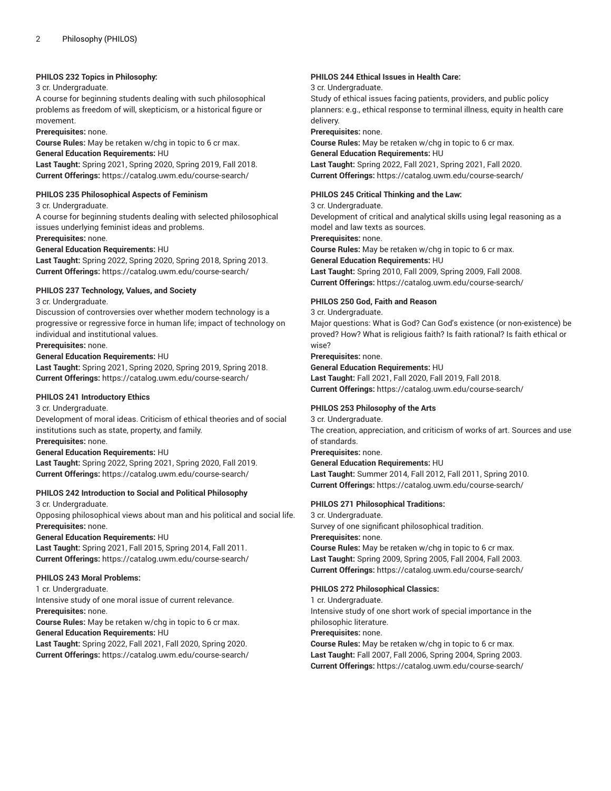#### **PHILOS 232 Topics in Philosophy:**

#### 3 cr. Undergraduate.

A course for beginning students dealing with such philosophical problems as freedom of will, skepticism, or a historical figure or movement.

**Prerequisites:** none.

**Course Rules:** May be retaken w/chg in topic to 6 cr max.

## **General Education Requirements:** HU

**Last Taught:** Spring 2021, Spring 2020, Spring 2019, Fall 2018. **Current Offerings:** <https://catalog.uwm.edu/course-search/>

#### **PHILOS 235 Philosophical Aspects of Feminism**

3 cr. Undergraduate.

A course for beginning students dealing with selected philosophical issues underlying feminist ideas and problems. **Prerequisites:** none.

## **General Education Requirements:** HU

**Last Taught:** Spring 2022, Spring 2020, Spring 2018, Spring 2013. **Current Offerings:** <https://catalog.uwm.edu/course-search/>

#### **PHILOS 237 Technology, Values, and Society**

## 3 cr. Undergraduate.

Discussion of controversies over whether modern technology is a progressive or regressive force in human life; impact of technology on individual and institutional values.

#### **Prerequisites:** none.

## **General Education Requirements:** HU

**Last Taught:** Spring 2021, Spring 2020, Spring 2019, Spring 2018. **Current Offerings:** <https://catalog.uwm.edu/course-search/>

#### **PHILOS 241 Introductory Ethics**

3 cr. Undergraduate.

Development of moral ideas. Criticism of ethical theories and of social institutions such as state, property, and family.

# **Prerequisites:** none.

**General Education Requirements:** HU

**Last Taught:** Spring 2022, Spring 2021, Spring 2020, Fall 2019. **Current Offerings:** <https://catalog.uwm.edu/course-search/>

#### **PHILOS 242 Introduction to Social and Political Philosophy**

3 cr. Undergraduate.

Opposing philosophical views about man and his political and social life. **Prerequisites:** none.

#### **General Education Requirements:** HU

**Last Taught:** Spring 2021, Fall 2015, Spring 2014, Fall 2011. **Current Offerings:** <https://catalog.uwm.edu/course-search/>

#### **PHILOS 243 Moral Problems:**

1 cr. Undergraduate.

Intensive study of one moral issue of current relevance. **Prerequisites:** none.

**Course Rules:** May be retaken w/chg in topic to 6 cr max.

## **General Education Requirements:** HU

**Last Taught:** Spring 2022, Fall 2021, Fall 2020, Spring 2020. **Current Offerings:** <https://catalog.uwm.edu/course-search/>

## **PHILOS 244 Ethical Issues in Health Care:**

#### 3 cr. Undergraduate.

Study of ethical issues facing patients, providers, and public policy planners: e.g., ethical response to terminal illness, equity in health care delivery.

**Prerequisites:** none.

**Course Rules:** May be retaken w/chg in topic to 6 cr max.

**General Education Requirements:** HU

**Last Taught:** Spring 2022, Fall 2021, Spring 2021, Fall 2020. **Current Offerings:** <https://catalog.uwm.edu/course-search/>

#### **PHILOS 245 Critical Thinking and the Law:**

3 cr. Undergraduate.

Development of critical and analytical skills using legal reasoning as a model and law texts as sources.

**Prerequisites:** none.

**Course Rules:** May be retaken w/chg in topic to 6 cr max.

**General Education Requirements:** HU

**Last Taught:** Spring 2010, Fall 2009, Spring 2009, Fall 2008. **Current Offerings:** <https://catalog.uwm.edu/course-search/>

#### **PHILOS 250 God, Faith and Reason**

3 cr. Undergraduate.

Major questions: What is God? Can God's existence (or non-existence) be proved? How? What is religious faith? Is faith rational? Is faith ethical or wise?

#### **Prerequisites:** none.

**General Education Requirements:** HU **Last Taught:** Fall 2021, Fall 2020, Fall 2019, Fall 2018. **Current Offerings:** <https://catalog.uwm.edu/course-search/>

#### **PHILOS 253 Philosophy of the Arts**

3 cr. Undergraduate. The creation, appreciation, and criticism of works of art. Sources and use of standards.

**Prerequisites:** none.

**General Education Requirements:** HU

**Last Taught:** Summer 2014, Fall 2012, Fall 2011, Spring 2010. **Current Offerings:** <https://catalog.uwm.edu/course-search/>

#### **PHILOS 271 Philosophical Traditions:**

3 cr. Undergraduate. Survey of one significant philosophical tradition. **Prerequisites:** none.

**Course Rules:** May be retaken w/chg in topic to 6 cr max. **Last Taught:** Spring 2009, Spring 2005, Fall 2004, Fall 2003. **Current Offerings:** <https://catalog.uwm.edu/course-search/>

## **PHILOS 272 Philosophical Classics:**

1 cr. Undergraduate.

Intensive study of one short work of special importance in the philosophic literature.

#### **Prerequisites:** none.

**Course Rules:** May be retaken w/chg in topic to 6 cr max. **Last Taught:** Fall 2007, Fall 2006, Spring 2004, Spring 2003. **Current Offerings:** <https://catalog.uwm.edu/course-search/>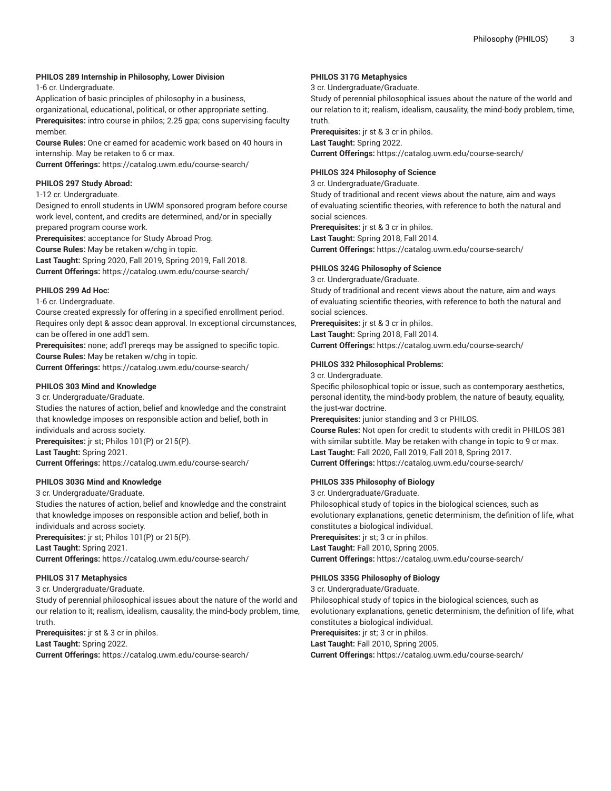## **PHILOS 289 Internship in Philosophy, Lower Division**

1-6 cr. Undergraduate.

Application of basic principles of philosophy in a business, organizational, educational, political, or other appropriate setting. **Prerequisites:** intro course in philos; 2.25 gpa; cons supervising faculty member.

**Course Rules:** One cr earned for academic work based on 40 hours in internship. May be retaken to 6 cr max.

**Current Offerings:** <https://catalog.uwm.edu/course-search/>

#### **PHILOS 297 Study Abroad:**

1-12 cr. Undergraduate.

Designed to enroll students in UWM sponsored program before course work level, content, and credits are determined, and/or in specially prepared program course work.

**Prerequisites:** acceptance for Study Abroad Prog.

**Course Rules:** May be retaken w/chg in topic.

**Last Taught:** Spring 2020, Fall 2019, Spring 2019, Fall 2018. **Current Offerings:** <https://catalog.uwm.edu/course-search/>

#### **PHILOS 299 Ad Hoc:**

1-6 cr. Undergraduate.

Course created expressly for offering in a specified enrollment period. Requires only dept & assoc dean approval. In exceptional circumstances, can be offered in one add'l sem.

**Prerequisites:** none; add'l prereqs may be assigned to specific topic. **Course Rules:** May be retaken w/chg in topic.

**Current Offerings:** <https://catalog.uwm.edu/course-search/>

#### **PHILOS 303 Mind and Knowledge**

3 cr. Undergraduate/Graduate. Studies the natures of action, belief and knowledge and the constraint that knowledge imposes on responsible action and belief, both in individuals and across society. **Prerequisites:** jr st; Philos 101(P) or 215(P). **Last Taught:** Spring 2021. **Current Offerings:** <https://catalog.uwm.edu/course-search/>

#### **PHILOS 303G Mind and Knowledge**

3 cr. Undergraduate/Graduate.

Studies the natures of action, belief and knowledge and the constraint that knowledge imposes on responsible action and belief, both in individuals and across society.

**Prerequisites:** jr st; Philos 101(P) or 215(P). **Last Taught:** Spring 2021.

**Current Offerings:** <https://catalog.uwm.edu/course-search/>

## **PHILOS 317 Metaphysics**

3 cr. Undergraduate/Graduate.

Study of perennial philosophical issues about the nature of the world and our relation to it; realism, idealism, causality, the mind-body problem, time, truth.

**Prerequisites:** jr st & 3 cr in philos. **Last Taught:** Spring 2022.

**Current Offerings:** <https://catalog.uwm.edu/course-search/>

## **PHILOS 317G Metaphysics**

3 cr. Undergraduate/Graduate.

Study of perennial philosophical issues about the nature of the world and our relation to it; realism, idealism, causality, the mind-body problem, time, truth.

**Prerequisites:** jr st & 3 cr in philos. **Last Taught:** Spring 2022. **Current Offerings:** <https://catalog.uwm.edu/course-search/>

## **PHILOS 324 Philosophy of Science**

3 cr. Undergraduate/Graduate.

Study of traditional and recent views about the nature, aim and ways of evaluating scientific theories, with reference to both the natural and social sciences.

**Prerequisites:** jr st & 3 cr in philos. **Last Taught:** Spring 2018, Fall 2014. **Current Offerings:** <https://catalog.uwm.edu/course-search/>

## **PHILOS 324G Philosophy of Science**

3 cr. Undergraduate/Graduate.

Study of traditional and recent views about the nature, aim and ways of evaluating scientific theories, with reference to both the natural and social sciences.

**Prerequisites:** jr st & 3 cr in philos. **Last Taught:** Spring 2018, Fall 2014. **Current Offerings:** <https://catalog.uwm.edu/course-search/>

## **PHILOS 332 Philosophical Problems:**

3 cr. Undergraduate.

Specific philosophical topic or issue, such as contemporary aesthetics, personal identity, the mind-body problem, the nature of beauty, equality, the just-war doctrine.

**Prerequisites:** junior standing and 3 cr PHILOS.

**Course Rules:** Not open for credit to students with credit in PHILOS 381 with similar subtitle. May be retaken with change in topic to 9 cr max. **Last Taught:** Fall 2020, Fall 2019, Fall 2018, Spring 2017. **Current Offerings:** <https://catalog.uwm.edu/course-search/>

## **PHILOS 335 Philosophy of Biology**

3 cr. Undergraduate/Graduate.

Philosophical study of topics in the biological sciences, such as evolutionary explanations, genetic determinism, the definition of life, what constitutes a biological individual. **Prerequisites:** jr st; 3 cr in philos. **Last Taught:** Fall 2010, Spring 2005.

**Current Offerings:** <https://catalog.uwm.edu/course-search/>

## **PHILOS 335G Philosophy of Biology**

3 cr. Undergraduate/Graduate. Philosophical study of topics in the biological sciences, such as evolutionary explanations, genetic determinism, the definition of life, what constitutes a biological individual. **Prerequisites:** jr st; 3 cr in philos. **Last Taught:** Fall 2010, Spring 2005. **Current Offerings:** <https://catalog.uwm.edu/course-search/>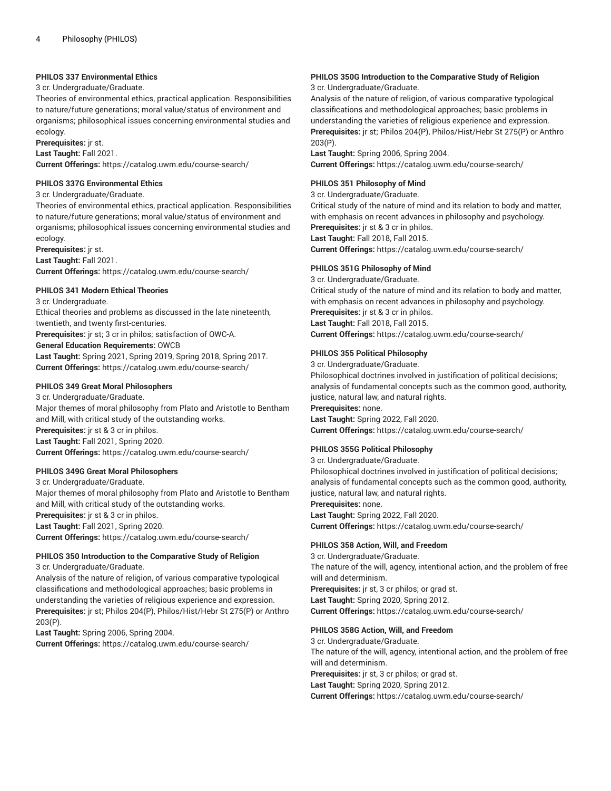#### **PHILOS 337 Environmental Ethics**

#### 3 cr. Undergraduate/Graduate.

Theories of environmental ethics, practical application. Responsibilities to nature/future generations; moral value/status of environment and organisms; philosophical issues concerning environmental studies and ecology.

**Prerequisites:** jr st.

**Last Taught:** Fall 2021.

**Current Offerings:** <https://catalog.uwm.edu/course-search/>

#### **PHILOS 337G Environmental Ethics**

#### 3 cr. Undergraduate/Graduate.

Theories of environmental ethics, practical application. Responsibilities to nature/future generations; moral value/status of environment and organisms; philosophical issues concerning environmental studies and ecology.

**Prerequisites:** jr st. **Last Taught:** Fall 2021. **Current Offerings:** <https://catalog.uwm.edu/course-search/>

#### **PHILOS 341 Modern Ethical Theories**

## 3 cr. Undergraduate.

Ethical theories and problems as discussed in the late nineteenth, twentieth, and twenty first-centuries.

**Prerequisites:** jr st; 3 cr in philos; satisfaction of OWC-A.

#### **General Education Requirements:** OWCB

**Last Taught:** Spring 2021, Spring 2019, Spring 2018, Spring 2017. **Current Offerings:** <https://catalog.uwm.edu/course-search/>

#### **PHILOS 349 Great Moral Philosophers**

3 cr. Undergraduate/Graduate. Major themes of moral philosophy from Plato and Aristotle to Bentham and Mill, with critical study of the outstanding works. **Prerequisites:** jr st & 3 cr in philos. **Last Taught:** Fall 2021, Spring 2020. **Current Offerings:** <https://catalog.uwm.edu/course-search/>

#### **PHILOS 349G Great Moral Philosophers**

3 cr. Undergraduate/Graduate. Major themes of moral philosophy from Plato and Aristotle to Bentham and Mill, with critical study of the outstanding works. **Prerequisites:** jr st & 3 cr in philos. **Last Taught:** Fall 2021, Spring 2020. **Current Offerings:** <https://catalog.uwm.edu/course-search/>

#### **PHILOS 350 Introduction to the Comparative Study of Religion**

3 cr. Undergraduate/Graduate.

Analysis of the nature of religion, of various comparative typological classifications and methodological approaches; basic problems in understanding the varieties of religious experience and expression. **Prerequisites:** jr st; Philos 204(P), Philos/Hist/Hebr St 275(P) or Anthro 203(P).

**Last Taught:** Spring 2006, Spring 2004. **Current Offerings:** <https://catalog.uwm.edu/course-search/>

# **PHILOS 350G Introduction to the Comparative Study of Religion**

3 cr. Undergraduate/Graduate.

Analysis of the nature of religion, of various comparative typological classifications and methodological approaches; basic problems in understanding the varieties of religious experience and expression. **Prerequisites:** jr st; Philos 204(P), Philos/Hist/Hebr St 275(P) or Anthro 203(P).

**Last Taught:** Spring 2006, Spring 2004. **Current Offerings:** <https://catalog.uwm.edu/course-search/>

#### **PHILOS 351 Philosophy of Mind**

#### 3 cr. Undergraduate/Graduate.

Critical study of the nature of mind and its relation to body and matter, with emphasis on recent advances in philosophy and psychology. **Prerequisites:** jr st & 3 cr in philos. **Last Taught:** Fall 2018, Fall 2015. **Current Offerings:** <https://catalog.uwm.edu/course-search/>

#### **PHILOS 351G Philosophy of Mind**

3 cr. Undergraduate/Graduate. Critical study of the nature of mind and its relation to body and matter, with emphasis on recent advances in philosophy and psychology. **Prerequisites:** jr st & 3 cr in philos. **Last Taught:** Fall 2018, Fall 2015. **Current Offerings:** <https://catalog.uwm.edu/course-search/>

#### **PHILOS 355 Political Philosophy**

3 cr. Undergraduate/Graduate.

Philosophical doctrines involved in justification of political decisions; analysis of fundamental concepts such as the common good, authority, justice, natural law, and natural rights. **Prerequisites:** none. **Last Taught:** Spring 2022, Fall 2020.

**Current Offerings:** <https://catalog.uwm.edu/course-search/>

## **PHILOS 355G Political Philosophy**

3 cr. Undergraduate/Graduate.

Philosophical doctrines involved in justification of political decisions; analysis of fundamental concepts such as the common good, authority, justice, natural law, and natural rights. **Prerequisites:** none. **Last Taught:** Spring 2022, Fall 2020. **Current Offerings:** <https://catalog.uwm.edu/course-search/>

#### **PHILOS 358 Action, Will, and Freedom**

3 cr. Undergraduate/Graduate. The nature of the will, agency, intentional action, and the problem of free will and determinism. **Prerequisites:** jr st, 3 cr philos; or grad st. **Last Taught:** Spring 2020, Spring 2012. **Current Offerings:** <https://catalog.uwm.edu/course-search/>

#### **PHILOS 358G Action, Will, and Freedom**

3 cr. Undergraduate/Graduate. The nature of the will, agency, intentional action, and the problem of free will and determinism.

**Prerequisites:** jr st, 3 cr philos; or grad st.

**Last Taught:** Spring 2020, Spring 2012.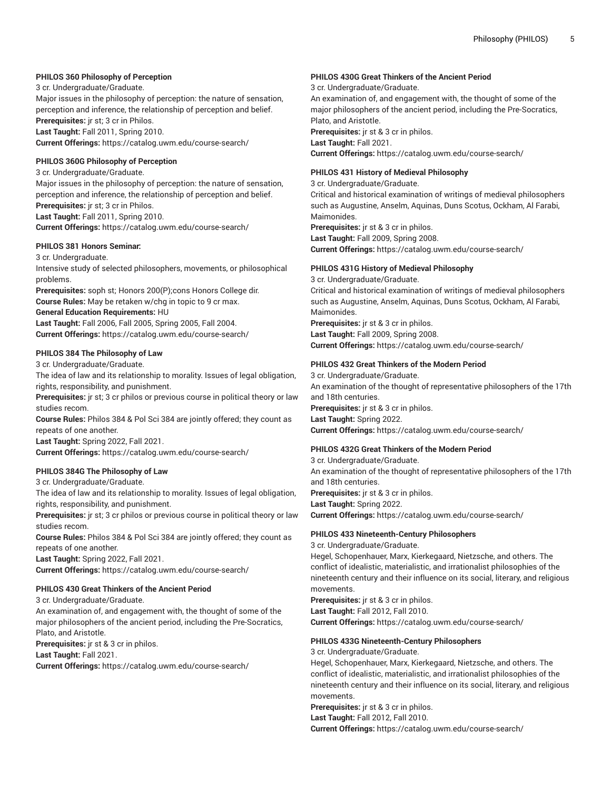## **PHILOS 360 Philosophy of Perception**

3 cr. Undergraduate/Graduate.

Major issues in the philosophy of perception: the nature of sensation, perception and inference, the relationship of perception and belief. **Prerequisites:** jr st; 3 cr in Philos.

**Last Taught:** Fall 2011, Spring 2010. **Current Offerings:** <https://catalog.uwm.edu/course-search/>

#### **PHILOS 360G Philosophy of Perception**

3 cr. Undergraduate/Graduate. Major issues in the philosophy of perception: the nature of sensation, perception and inference, the relationship of perception and belief. **Prerequisites:** jr st; 3 cr in Philos.

**Last Taught:** Fall 2011, Spring 2010. **Current Offerings:** <https://catalog.uwm.edu/course-search/>

## **PHILOS 381 Honors Seminar:**

3 cr. Undergraduate.

Intensive study of selected philosophers, movements, or philosophical problems.

**Prerequisites:** soph st; Honors 200(P);cons Honors College dir. **Course Rules:** May be retaken w/chg in topic to 9 cr max.

#### **General Education Requirements:** HU

**Last Taught:** Fall 2006, Fall 2005, Spring 2005, Fall 2004. **Current Offerings:** <https://catalog.uwm.edu/course-search/>

## **PHILOS 384 The Philosophy of Law**

3 cr. Undergraduate/Graduate.

The idea of law and its relationship to morality. Issues of legal obligation, rights, responsibility, and punishment.

**Prerequisites:** jr st; 3 cr philos or previous course in political theory or law studies recom.

**Course Rules:** Philos 384 & Pol Sci 384 are jointly offered; they count as repeats of one another.

**Last Taught:** Spring 2022, Fall 2021.

**Current Offerings:** <https://catalog.uwm.edu/course-search/>

## **PHILOS 384G The Philosophy of Law**

3 cr. Undergraduate/Graduate.

The idea of law and its relationship to morality. Issues of legal obligation, rights, responsibility, and punishment.

**Prerequisites:** jr st; 3 cr philos or previous course in political theory or law studies recom.

**Course Rules:** Philos 384 & Pol Sci 384 are jointly offered; they count as repeats of one another.

**Last Taught:** Spring 2022, Fall 2021.

**Current Offerings:** <https://catalog.uwm.edu/course-search/>

## **PHILOS 430 Great Thinkers of the Ancient Period**

3 cr. Undergraduate/Graduate.

An examination of, and engagement with, the thought of some of the major philosophers of the ancient period, including the Pre-Socratics, Plato, and Aristotle.

**Prerequisites:** jr st & 3 cr in philos.

**Last Taught:** Fall 2021.

**Current Offerings:** <https://catalog.uwm.edu/course-search/>

## **PHILOS 430G Great Thinkers of the Ancient Period**

3 cr. Undergraduate/Graduate.

An examination of, and engagement with, the thought of some of the major philosophers of the ancient period, including the Pre-Socratics, Plato, and Aristotle.

**Prerequisites:** jr st & 3 cr in philos. **Last Taught:** Fall 2021.

**Current Offerings:** <https://catalog.uwm.edu/course-search/>

## **PHILOS 431 History of Medieval Philosophy**

3 cr. Undergraduate/Graduate.

Critical and historical examination of writings of medieval philosophers such as Augustine, Anselm, Aquinas, Duns Scotus, Ockham, Al Farabi, Maimonides.

**Prerequisites:** jr st & 3 cr in philos. **Last Taught:** Fall 2009, Spring 2008. **Current Offerings:** <https://catalog.uwm.edu/course-search/>

## **PHILOS 431G History of Medieval Philosophy**

3 cr. Undergraduate/Graduate.

Critical and historical examination of writings of medieval philosophers such as Augustine, Anselm, Aquinas, Duns Scotus, Ockham, Al Farabi, Maimonides. **Prerequisites:** jr st & 3 cr in philos.

**Last Taught:** Fall 2009, Spring 2008. **Current Offerings:** <https://catalog.uwm.edu/course-search/>

## **PHILOS 432 Great Thinkers of the Modern Period**

3 cr. Undergraduate/Graduate. An examination of the thought of representative philosophers of the 17th and 18th centuries. **Prerequisites:** jr st & 3 cr in philos.

**Last Taught:** Spring 2022. **Current Offerings:** <https://catalog.uwm.edu/course-search/>

## **PHILOS 432G Great Thinkers of the Modern Period**

3 cr. Undergraduate/Graduate. An examination of the thought of representative philosophers of the 17th and 18th centuries. **Prerequisites:** jr st & 3 cr in philos. **Last Taught:** Spring 2022. **Current Offerings:** <https://catalog.uwm.edu/course-search/>

#### **PHILOS 433 Nineteenth-Century Philosophers**

3 cr. Undergraduate/Graduate.

Hegel, Schopenhauer, Marx, Kierkegaard, Nietzsche, and others. The conflict of idealistic, materialistic, and irrationalist philosophies of the nineteenth century and their influence on its social, literary, and religious movements.

**Prerequisites:** jr st & 3 cr in philos. **Last Taught:** Fall 2012, Fall 2010.

**Current Offerings:** <https://catalog.uwm.edu/course-search/>

## **PHILOS 433G Nineteenth-Century Philosophers**

3 cr. Undergraduate/Graduate.

Hegel, Schopenhauer, Marx, Kierkegaard, Nietzsche, and others. The conflict of idealistic, materialistic, and irrationalist philosophies of the nineteenth century and their influence on its social, literary, and religious movements.

**Prerequisites:** jr st & 3 cr in philos. **Last Taught:** Fall 2012, Fall 2010. **Current Offerings:** <https://catalog.uwm.edu/course-search/>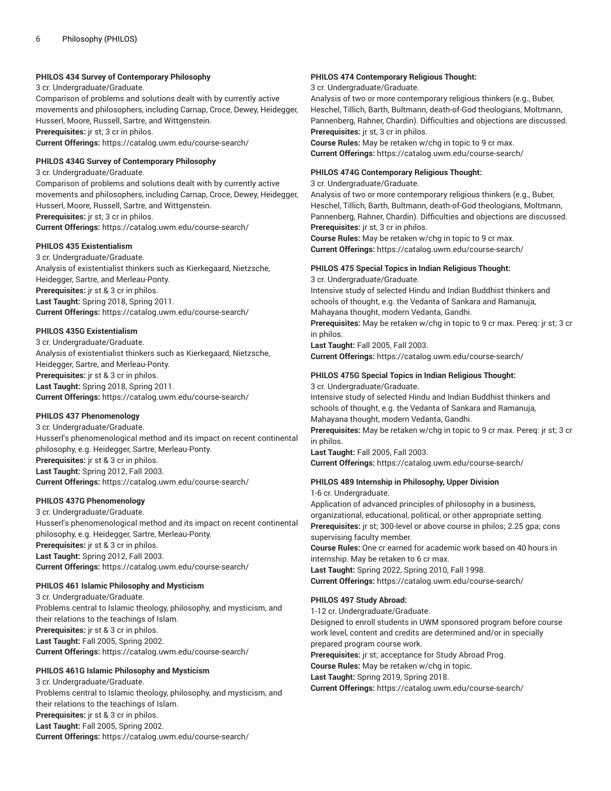## **PHILOS 434 Survey of Contemporary Philosophy**

3 cr. Undergraduate/Graduate. Comparison of problems and solutions dealt with by currently active movements and philosophers, including Carnap, Croce, Dewey, Heidegger, Husserl, Moore, Russell, Sartre, and Wittgenstein. **Prerequisites:** jr st; 3 cr in philos. **Current Offerings:** <https://catalog.uwm.edu/course-search/>

#### **PHILOS 434G Survey of Contemporary Philosophy**

3 cr. Undergraduate/Graduate. Comparison of problems and solutions dealt with by currently active movements and philosophers, including Carnap, Croce, Dewey, Heidegger, Husserl, Moore, Russell, Sartre, and Wittgenstein. **Prerequisites:** jr st; 3 cr in philos. **Current Offerings:** <https://catalog.uwm.edu/course-search/>

## **PHILOS 435 Existentialism**

3 cr. Undergraduate/Graduate. Analysis of existentialist thinkers such as Kierkegaard, Nietzsche, Heidegger, Sartre, and Merleau-Ponty. **Prerequisites:** jr st & 3 cr in philos. **Last Taught:** Spring 2018, Spring 2011. **Current Offerings:** <https://catalog.uwm.edu/course-search/>

## **PHILOS 435G Existentialism**

3 cr. Undergraduate/Graduate. Analysis of existentialist thinkers such as Kierkegaard, Nietzsche, Heidegger, Sartre, and Merleau-Ponty. **Prerequisites:** jr st & 3 cr in philos. **Last Taught:** Spring 2018, Spring 2011. **Current Offerings:** <https://catalog.uwm.edu/course-search/>

## **PHILOS 437 Phenomenology**

3 cr. Undergraduate/Graduate. Husserl's phenomenological method and its impact on recent continental philosophy, e.g. Heidegger, Sartre, Merleau-Ponty. **Prerequisites:** jr st & 3 cr in philos. **Last Taught:** Spring 2012, Fall 2003. **Current Offerings:** <https://catalog.uwm.edu/course-search/>

## **PHILOS 437G Phenomenology**

3 cr. Undergraduate/Graduate. Husserl's phenomenological method and its impact on recent continental philosophy, e.g. Heidegger, Sartre, Merleau-Ponty. **Prerequisites:** jr st & 3 cr in philos. **Last Taught:** Spring 2012, Fall 2003. **Current Offerings:** <https://catalog.uwm.edu/course-search/>

#### **PHILOS 461 Islamic Philosophy and Mysticism**

3 cr. Undergraduate/Graduate. Problems central to Islamic theology, philosophy, and mysticism, and their relations to the teachings of Islam. **Prerequisites:** jr st & 3 cr in philos. **Last Taught:** Fall 2005, Spring 2002. **Current Offerings:** <https://catalog.uwm.edu/course-search/>

## **PHILOS 461G Islamic Philosophy and Mysticism**

3 cr. Undergraduate/Graduate. Problems central to Islamic theology, philosophy, and mysticism, and their relations to the teachings of Islam. **Prerequisites:** jr st & 3 cr in philos. **Last Taught:** Fall 2005, Spring 2002. **Current Offerings:** <https://catalog.uwm.edu/course-search/>

## **PHILOS 474 Contemporary Religious Thought:**

3 cr. Undergraduate/Graduate.

Analysis of two or more contemporary religious thinkers (e.g., Buber, Heschel, Tillich, Barth, Bultmann, death-of-God theologians, Moltmann, Pannenberg, Rahner, Chardin). Difficulties and objections are discussed. **Prerequisites:** jr st, 3 cr in philos.

**Course Rules:** May be retaken w/chg in topic to 9 cr max. **Current Offerings:** <https://catalog.uwm.edu/course-search/>

#### **PHILOS 474G Contemporary Religious Thought:**

3 cr. Undergraduate/Graduate.

Analysis of two or more contemporary religious thinkers (e.g., Buber, Heschel, Tillich, Barth, Bultmann, death-of-God theologians, Moltmann, Pannenberg, Rahner, Chardin). Difficulties and objections are discussed. **Prerequisites:** jr st, 3 cr in philos.

**Course Rules:** May be retaken w/chg in topic to 9 cr max. **Current Offerings:** <https://catalog.uwm.edu/course-search/>

## **PHILOS 475 Special Topics in Indian Religious Thought:**

3 cr. Undergraduate/Graduate. Intensive study of selected Hindu and Indian Buddhist thinkers and schools of thought, e.g. the Vedanta of Sankara and Ramanuja, Mahayana thought, modern Vedanta, Gandhi. **Prerequisites:** May be retaken w/chg in topic to 9 cr max. Pereq: jr st; 3 cr in philos. **Last Taught:** Fall 2005, Fall 2003. **Current Offerings:** <https://catalog.uwm.edu/course-search/>

## **PHILOS 475G Special Topics in Indian Religious Thought:**

3 cr. Undergraduate/Graduate. Intensive study of selected Hindu and Indian Buddhist thinkers and schools of thought, e.g. the Vedanta of Sankara and Ramanuja, Mahayana thought, modern Vedanta, Gandhi. **Prerequisites:** May be retaken w/chg in topic to 9 cr max. Pereq: jr st; 3 cr in philos. **Last Taught:** Fall 2005, Fall 2003.

**Current Offerings:** <https://catalog.uwm.edu/course-search/>

## **PHILOS 489 Internship in Philosophy, Upper Division**

1-6 cr. Undergraduate.

Application of advanced principles of philosophy in a business, organizational, educational, political, or other appropriate setting. **Prerequisites:** jr st; 300-level or above course in philos; 2.25 gpa; cons supervising faculty member.

**Course Rules:** One cr earned for academic work based on 40 hours in internship. May be retaken to 6 cr max.

**Last Taught:** Spring 2022, Spring 2010, Fall 1998.

**Current Offerings:** <https://catalog.uwm.edu/course-search/>

## **PHILOS 497 Study Abroad:**

1-12 cr. Undergraduate/Graduate. Designed to enroll students in UWM sponsored program before course work level, content and credits are determined and/or in specially prepared program course work. **Prerequisites:** jr st; acceptance for Study Abroad Prog. **Course Rules:** May be retaken w/chg in topic.

**Last Taught:** Spring 2019, Spring 2018.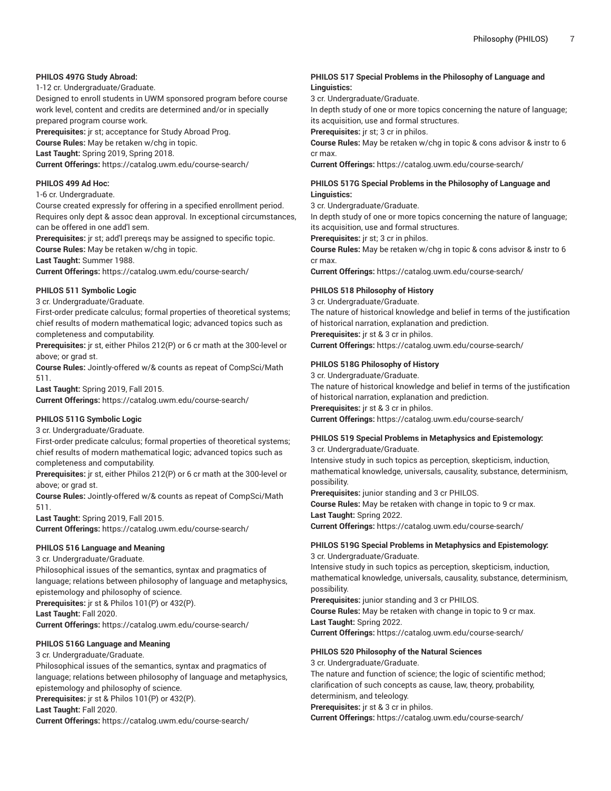## **PHILOS 497G Study Abroad:**

1-12 cr. Undergraduate/Graduate.

Designed to enroll students in UWM sponsored program before course work level, content and credits are determined and/or in specially prepared program course work.

**Prerequisites:** jr st; acceptance for Study Abroad Prog. **Course Rules:** May be retaken w/chg in topic. **Last Taught:** Spring 2019, Spring 2018.

**Current Offerings:** <https://catalog.uwm.edu/course-search/>

## **PHILOS 499 Ad Hoc:**

#### 1-6 cr. Undergraduate.

Course created expressly for offering in a specified enrollment period. Requires only dept & assoc dean approval. In exceptional circumstances, can be offered in one add'l sem.

**Prerequisites:** jr st; add'l prereqs may be assigned to specific topic.

**Course Rules:** May be retaken w/chg in topic.

**Last Taught:** Summer 1988.

**Current Offerings:** <https://catalog.uwm.edu/course-search/>

## **PHILOS 511 Symbolic Logic**

3 cr. Undergraduate/Graduate.

First-order predicate calculus; formal properties of theoretical systems; chief results of modern mathematical logic; advanced topics such as completeness and computability.

**Prerequisites:** jr st, either Philos 212(P) or 6 cr math at the 300-level or above; or grad st.

**Course Rules:** Jointly-offered w/& counts as repeat of CompSci/Math 511.

**Last Taught:** Spring 2019, Fall 2015.

**Current Offerings:** <https://catalog.uwm.edu/course-search/>

#### **PHILOS 511G Symbolic Logic**

3 cr. Undergraduate/Graduate.

First-order predicate calculus; formal properties of theoretical systems; chief results of modern mathematical logic; advanced topics such as completeness and computability.

**Prerequisites:** jr st, either Philos 212(P) or 6 cr math at the 300-level or above; or grad st.

**Course Rules:** Jointly-offered w/& counts as repeat of CompSci/Math 511.

**Last Taught:** Spring 2019, Fall 2015. **Current Offerings:** <https://catalog.uwm.edu/course-search/>

#### **PHILOS 516 Language and Meaning**

3 cr. Undergraduate/Graduate.

Philosophical issues of the semantics, syntax and pragmatics of language; relations between philosophy of language and metaphysics, epistemology and philosophy of science.

**Prerequisites:** jr st & Philos 101(P) or 432(P).

**Last Taught:** Fall 2020.

**Current Offerings:** <https://catalog.uwm.edu/course-search/>

## **PHILOS 516G Language and Meaning**

3 cr. Undergraduate/Graduate.

Philosophical issues of the semantics, syntax and pragmatics of language; relations between philosophy of language and metaphysics, epistemology and philosophy of science.

**Prerequisites:** jr st & Philos 101(P) or 432(P).

**Last Taught:** Fall 2020.

**Current Offerings:** <https://catalog.uwm.edu/course-search/>

## **PHILOS 517 Special Problems in the Philosophy of Language and Linguistics:**

3 cr. Undergraduate/Graduate.

In depth study of one or more topics concerning the nature of language; its acquisition, use and formal structures.

**Prerequisites:** jr st; 3 cr in philos.

**Course Rules:** May be retaken w/chg in topic & cons advisor & instr to 6 cr max.

**Current Offerings:** <https://catalog.uwm.edu/course-search/>

## **PHILOS 517G Special Problems in the Philosophy of Language and Linguistics:**

3 cr. Undergraduate/Graduate.

In depth study of one or more topics concerning the nature of language; its acquisition, use and formal structures.

**Prerequisites:** jr st; 3 cr in philos.

**Course Rules:** May be retaken w/chg in topic & cons advisor & instr to 6 cr max.

**Current Offerings:** <https://catalog.uwm.edu/course-search/>

## **PHILOS 518 Philosophy of History**

3 cr. Undergraduate/Graduate. The nature of historical knowledge and belief in terms of the justification

of historical narration, explanation and prediction.

**Prerequisites:** jr st & 3 cr in philos. **Current Offerings:** <https://catalog.uwm.edu/course-search/>

## **PHILOS 518G Philosophy of History**

3 cr. Undergraduate/Graduate.

The nature of historical knowledge and belief in terms of the justification of historical narration, explanation and prediction. **Prerequisites:** jr st & 3 cr in philos. **Current Offerings:** <https://catalog.uwm.edu/course-search/>

# **PHILOS 519 Special Problems in Metaphysics and Epistemology:**

3 cr. Undergraduate/Graduate. Intensive study in such topics as perception, skepticism, induction, mathematical knowledge, universals, causality, substance, determinism, possibility.

**Prerequisites:** junior standing and 3 cr PHILOS.

**Course Rules:** May be retaken with change in topic to 9 cr max. **Last Taught:** Spring 2022.

**Current Offerings:** <https://catalog.uwm.edu/course-search/>

## **PHILOS 519G Special Problems in Metaphysics and Epistemology:** 3 cr. Undergraduate/Graduate.

Intensive study in such topics as perception, skepticism, induction, mathematical knowledge, universals, causality, substance, determinism, possibility.

**Prerequisites:** junior standing and 3 cr PHILOS.

**Course Rules:** May be retaken with change in topic to 9 cr max. **Last Taught:** Spring 2022.

**Current Offerings:** <https://catalog.uwm.edu/course-search/>

#### **PHILOS 520 Philosophy of the Natural Sciences**

3 cr. Undergraduate/Graduate.

The nature and function of science; the logic of scientific method; clarification of such concepts as cause, law, theory, probability, determinism, and teleology.

**Prerequisites:** jr st & 3 cr in philos.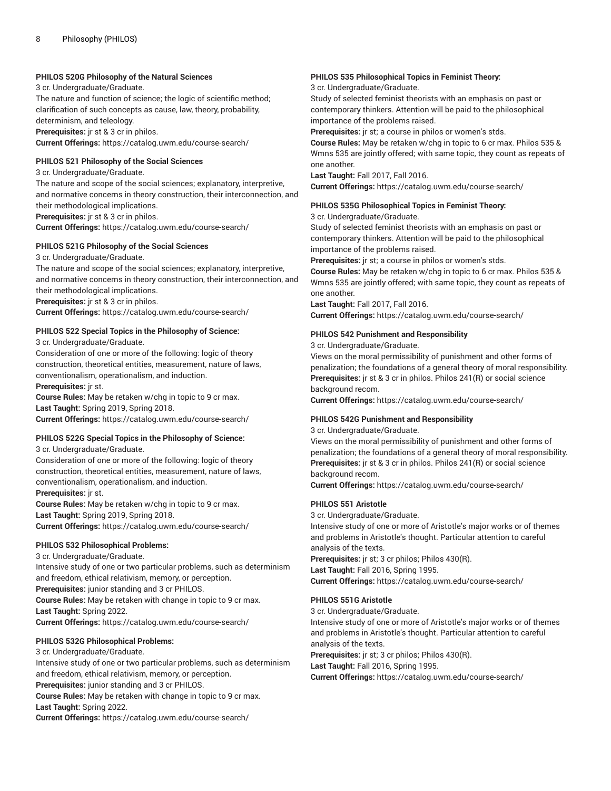#### **PHILOS 520G Philosophy of the Natural Sciences**

3 cr. Undergraduate/Graduate.

The nature and function of science; the logic of scientific method; clarification of such concepts as cause, law, theory, probability, determinism, and teleology.

**Prerequisites:** jr st & 3 cr in philos.

**Current Offerings:** <https://catalog.uwm.edu/course-search/>

#### **PHILOS 521 Philosophy of the Social Sciences**

3 cr. Undergraduate/Graduate.

The nature and scope of the social sciences; explanatory, interpretive, and normative concerns in theory construction, their interconnection, and their methodological implications.

**Prerequisites:** jr st & 3 cr in philos.

**Current Offerings:** <https://catalog.uwm.edu/course-search/>

## **PHILOS 521G Philosophy of the Social Sciences**

3 cr. Undergraduate/Graduate.

The nature and scope of the social sciences; explanatory, interpretive, and normative concerns in theory construction, their interconnection, and their methodological implications.

**Prerequisites:** jr st & 3 cr in philos.

**Current Offerings:** <https://catalog.uwm.edu/course-search/>

#### **PHILOS 522 Special Topics in the Philosophy of Science:**

3 cr. Undergraduate/Graduate.

Consideration of one or more of the following: logic of theory construction, theoretical entities, measurement, nature of laws, conventionalism, operationalism, and induction.

**Prerequisites:** jr st.

**Course Rules:** May be retaken w/chg in topic to 9 cr max. **Last Taught:** Spring 2019, Spring 2018. **Current Offerings:** <https://catalog.uwm.edu/course-search/>

## **PHILOS 522G Special Topics in the Philosophy of Science:**

3 cr. Undergraduate/Graduate.

Consideration of one or more of the following: logic of theory construction, theoretical entities, measurement, nature of laws, conventionalism, operationalism, and induction. **Prerequisites:** jr st.

**Course Rules:** May be retaken w/chg in topic to 9 cr max. **Last Taught:** Spring 2019, Spring 2018. **Current Offerings:** <https://catalog.uwm.edu/course-search/>

#### **PHILOS 532 Philosophical Problems:**

3 cr. Undergraduate/Graduate.

Intensive study of one or two particular problems, such as determinism and freedom, ethical relativism, memory, or perception. **Prerequisites:** junior standing and 3 cr PHILOS. **Course Rules:** May be retaken with change in topic to 9 cr max. **Last Taught:** Spring 2022.

**Current Offerings:** <https://catalog.uwm.edu/course-search/>

#### **PHILOS 532G Philosophical Problems:**

3 cr. Undergraduate/Graduate.

Intensive study of one or two particular problems, such as determinism and freedom, ethical relativism, memory, or perception. **Prerequisites:** junior standing and 3 cr PHILOS.

**Course Rules:** May be retaken with change in topic to 9 cr max.

**Last Taught:** Spring 2022.

**Current Offerings:** <https://catalog.uwm.edu/course-search/>

## **PHILOS 535 Philosophical Topics in Feminist Theory:**

3 cr. Undergraduate/Graduate.

Study of selected feminist theorists with an emphasis on past or contemporary thinkers. Attention will be paid to the philosophical importance of the problems raised.

**Prerequisites:** jr st; a course in philos or women's stds.

**Course Rules:** May be retaken w/chg in topic to 6 cr max. Philos 535 & Wmns 535 are jointly offered; with same topic, they count as repeats of one another.

**Last Taught:** Fall 2017, Fall 2016.

**Current Offerings:** <https://catalog.uwm.edu/course-search/>

#### **PHILOS 535G Philosophical Topics in Feminist Theory:**

3 cr. Undergraduate/Graduate.

Study of selected feminist theorists with an emphasis on past or contemporary thinkers. Attention will be paid to the philosophical importance of the problems raised.

**Prerequisites:** jr st; a course in philos or women's stds.

**Course Rules:** May be retaken w/chg in topic to 6 cr max. Philos 535 & Wmns 535 are jointly offered; with same topic, they count as repeats of one another.

**Last Taught:** Fall 2017, Fall 2016.

**Current Offerings:** <https://catalog.uwm.edu/course-search/>

#### **PHILOS 542 Punishment and Responsibility**

3 cr. Undergraduate/Graduate.

Views on the moral permissibility of punishment and other forms of penalization; the foundations of a general theory of moral responsibility. **Prerequisites:** jr st & 3 cr in philos. Philos 241(R) or social science background recom.

**Current Offerings:** <https://catalog.uwm.edu/course-search/>

#### **PHILOS 542G Punishment and Responsibility**

3 cr. Undergraduate/Graduate.

Views on the moral permissibility of punishment and other forms of penalization; the foundations of a general theory of moral responsibility. **Prerequisites:** jr st & 3 cr in philos. Philos 241(R) or social science background recom.

**Current Offerings:** <https://catalog.uwm.edu/course-search/>

#### **PHILOS 551 Aristotle**

3 cr. Undergraduate/Graduate.

Intensive study of one or more of Aristotle's major works or of themes and problems in Aristotle's thought. Particular attention to careful analysis of the texts. **Prerequisites:** jr st; 3 cr philos; Philos 430(R).

**Last Taught:** Fall 2016, Spring 1995.

**Current Offerings:** <https://catalog.uwm.edu/course-search/>

#### **PHILOS 551G Aristotle**

3 cr. Undergraduate/Graduate.

Intensive study of one or more of Aristotle's major works or of themes and problems in Aristotle's thought. Particular attention to careful analysis of the texts.

**Prerequisites:** jr st; 3 cr philos; Philos 430(R).

**Last Taught:** Fall 2016, Spring 1995.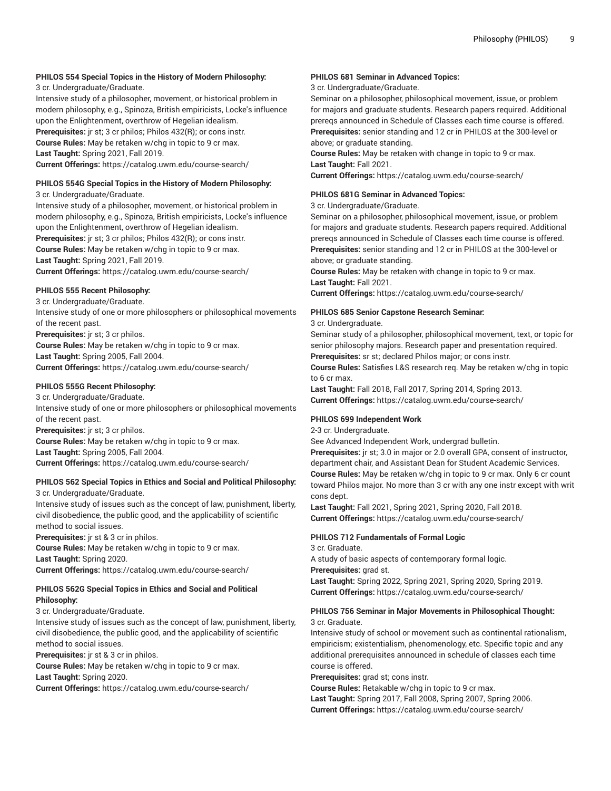## **PHILOS 554 Special Topics in the History of Modern Philosophy:**

3 cr. Undergraduate/Graduate.

Intensive study of a philosopher, movement, or historical problem in modern philosophy, e.g., Spinoza, British empiricists, Locke's influence upon the Enlightenment, overthrow of Hegelian idealism. **Prerequisites:** jr st; 3 cr philos; Philos 432(R); or cons instr. **Course Rules:** May be retaken w/chg in topic to 9 cr max. **Last Taught:** Spring 2021, Fall 2019. **Current Offerings:** <https://catalog.uwm.edu/course-search/>

## **PHILOS 554G Special Topics in the History of Modern Philosophy:**

#### 3 cr. Undergraduate/Graduate.

Intensive study of a philosopher, movement, or historical problem in modern philosophy, e.g., Spinoza, British empiricists, Locke's influence upon the Enlightenment, overthrow of Hegelian idealism. **Prerequisites:** jr st; 3 cr philos; Philos 432(R); or cons instr. **Course Rules:** May be retaken w/chg in topic to 9 cr max. **Last Taught:** Spring 2021, Fall 2019. **Current Offerings:** <https://catalog.uwm.edu/course-search/>

#### **PHILOS 555 Recent Philosophy:**

3 cr. Undergraduate/Graduate. Intensive study of one or more philosophers or philosophical movements of the recent past. **Prerequisites:** jr st; 3 cr philos. **Course Rules:** May be retaken w/chg in topic to 9 cr max. **Last Taught:** Spring 2005, Fall 2004. **Current Offerings:** <https://catalog.uwm.edu/course-search/>

## **PHILOS 555G Recent Philosophy:**

3 cr. Undergraduate/Graduate. Intensive study of one or more philosophers or philosophical movements of the recent past. **Prerequisites:** jr st; 3 cr philos. **Course Rules:** May be retaken w/chg in topic to 9 cr max. **Last Taught:** Spring 2005, Fall 2004. **Current Offerings:** <https://catalog.uwm.edu/course-search/>

#### **PHILOS 562 Special Topics in Ethics and Social and Political Philosophy:** 3 cr. Undergraduate/Graduate.

Intensive study of issues such as the concept of law, punishment, liberty, civil disobedience, the public good, and the applicability of scientific method to social issues.

**Prerequisites:** jr st & 3 cr in philos.

**Course Rules:** May be retaken w/chg in topic to 9 cr max. **Last Taught:** Spring 2020. **Current Offerings:** <https://catalog.uwm.edu/course-search/>

## **PHILOS 562G Special Topics in Ethics and Social and Political Philosophy:**

3 cr. Undergraduate/Graduate.

Intensive study of issues such as the concept of law, punishment, liberty, civil disobedience, the public good, and the applicability of scientific method to social issues.

**Prerequisites:** jr st & 3 cr in philos.

**Course Rules:** May be retaken w/chg in topic to 9 cr max. **Last Taught:** Spring 2020.

**Current Offerings:** <https://catalog.uwm.edu/course-search/>

## **PHILOS 681 Seminar in Advanced Topics:**

3 cr. Undergraduate/Graduate.

Seminar on a philosopher, philosophical movement, issue, or problem for majors and graduate students. Research papers required. Additional prereqs announced in Schedule of Classes each time course is offered. **Prerequisites:** senior standing and 12 cr in PHILOS at the 300-level or above; or graduate standing.

**Course Rules:** May be retaken with change in topic to 9 cr max. **Last Taught:** Fall 2021.

**Current Offerings:** <https://catalog.uwm.edu/course-search/>

## **PHILOS 681G Seminar in Advanced Topics:**

3 cr. Undergraduate/Graduate.

Seminar on a philosopher, philosophical movement, issue, or problem for majors and graduate students. Research papers required. Additional prereqs announced in Schedule of Classes each time course is offered. **Prerequisites:** senior standing and 12 cr in PHILOS at the 300-level or above; or graduate standing.

**Course Rules:** May be retaken with change in topic to 9 cr max. **Last Taught:** Fall 2021.

**Current Offerings:** <https://catalog.uwm.edu/course-search/>

## **PHILOS 685 Senior Capstone Research Seminar:**

3 cr. Undergraduate.

Seminar study of a philosopher, philosophical movement, text, or topic for senior philosophy majors. Research paper and presentation required.

**Prerequisites:** sr st; declared Philos major; or cons instr.

**Course Rules:** Satisfies L&S research req. May be retaken w/chg in topic to 6 cr max.

**Last Taught:** Fall 2018, Fall 2017, Spring 2014, Spring 2013. **Current Offerings:** <https://catalog.uwm.edu/course-search/>

#### **PHILOS 699 Independent Work**

2-3 cr. Undergraduate.

See Advanced Independent Work, undergrad bulletin.

**Prerequisites:** jr st; 3.0 in major or 2.0 overall GPA, consent of instructor, department chair, and Assistant Dean for Student Academic Services. **Course Rules:** May be retaken w/chg in topic to 9 cr max. Only 6 cr count toward Philos major. No more than 3 cr with any one instr except with writ cons dept.

**Last Taught:** Fall 2021, Spring 2021, Spring 2020, Fall 2018. **Current Offerings:** <https://catalog.uwm.edu/course-search/>

## **PHILOS 712 Fundamentals of Formal Logic**

3 cr. Graduate.

A study of basic aspects of contemporary formal logic. **Prerequisites:** grad st.

**Last Taught:** Spring 2022, Spring 2021, Spring 2020, Spring 2019. **Current Offerings:** <https://catalog.uwm.edu/course-search/>

## **PHILOS 756 Seminar in Major Movements in Philosophical Thought:** 3 cr. Graduate.

Intensive study of school or movement such as continental rationalism, empiricism; existentialism, phenomenology, etc. Specific topic and any additional prerequisites announced in schedule of classes each time course is offered.

**Prerequisites:** grad st; cons instr.

**Course Rules:** Retakable w/chg in topic to 9 cr max.

**Last Taught:** Spring 2017, Fall 2008, Spring 2007, Spring 2006. **Current Offerings:** <https://catalog.uwm.edu/course-search/>